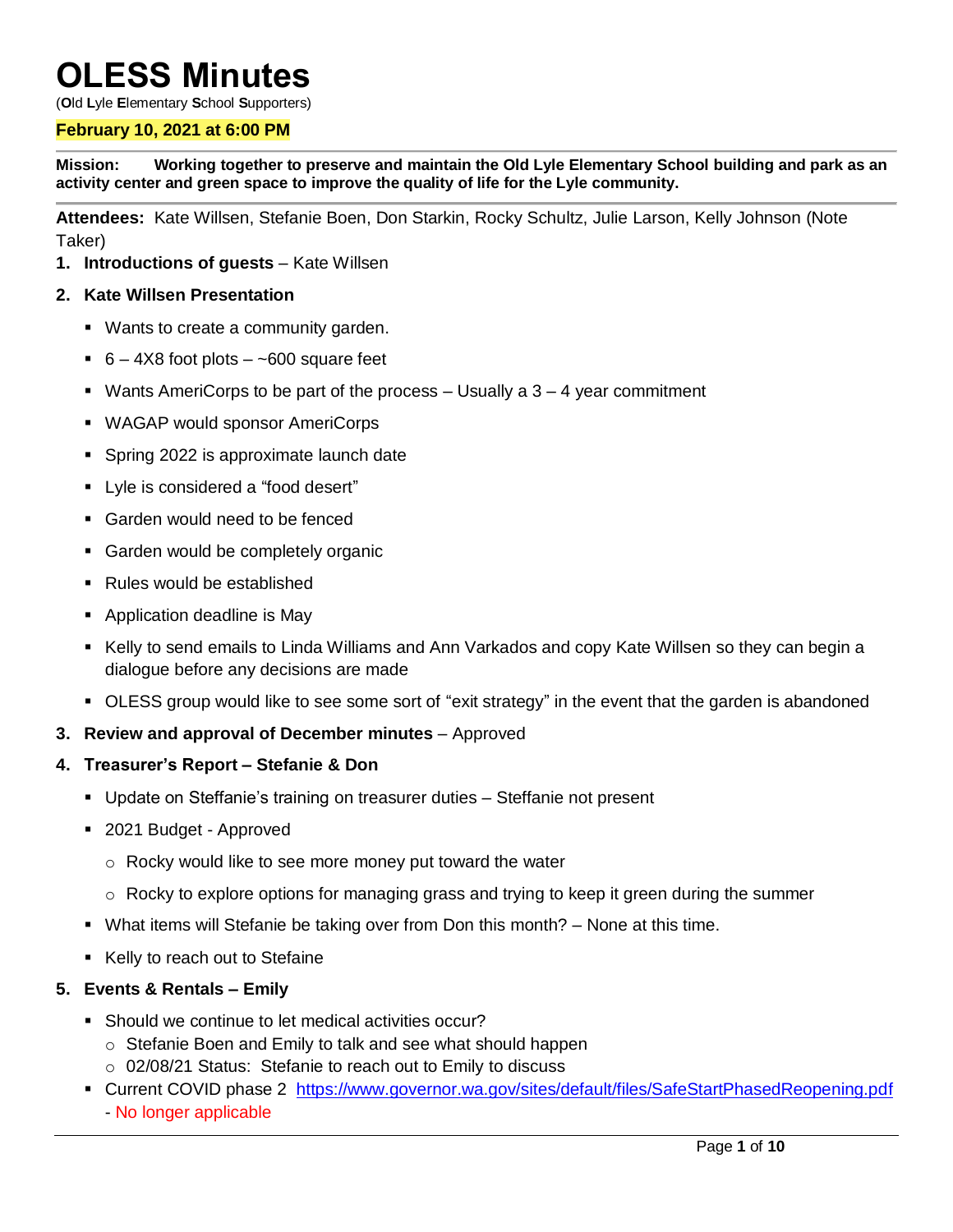# **OLESS Minutes**

(**O**ld **L**yle **E**lementary **S**chool **S**upporters)

#### **February 10, 2021 at 6:00 PM**

**Mission: Working together to preserve and maintain the Old Lyle Elementary School building and park as an activity center and green space to improve the quality of life for the Lyle community.**

**Attendees:** Kate Willsen, Stefanie Boen, Don Starkin, Rocky Schultz, Julie Larson, Kelly Johnson (Note Taker)

**1. Introductions of guests** – Kate Willsen

#### **2. Kate Willsen Presentation**

- Wants to create a community garden.
- $6 4X8$  foot plots  $-$  ~600 square feet
- $\blacksquare$  Wants AmeriCorps to be part of the process  $-$  Usually a 3  $-$  4 year commitment
- WAGAP would sponsor AmeriCorps
- Spring 2022 is approximate launch date
- **-** Lyle is considered a "food desert"
- Garden would need to be fenced
- **Garden would be completely organic**
- Rules would be established
- Application deadline is May
- Kelly to send emails to Linda Williams and Ann Varkados and copy Kate Willsen so they can begin a dialogue before any decisions are made
- OLESS group would like to see some sort of "exit strategy" in the event that the garden is abandoned
- **3. Review and approval of December minutes** Approved

#### **4. Treasurer's Report – Stefanie & Don**

- Update on Steffanie's training on treasurer duties Steffanie not present
- 2021 Budget Approved
	- o Rocky would like to see more money put toward the water
	- $\circ$  Rocky to explore options for managing grass and trying to keep it green during the summer
- What items will Stefanie be taking over from Don this month? None at this time.
- Kelly to reach out to Stefaine

#### **5. Events & Rentals – Emily**

- Should we continue to let medical activities occur?
	- o Stefanie Boen and Emily to talk and see what should happen
	- o 02/08/21 Status: Stefanie to reach out to Emily to discuss
- Current COVID phase 2 <https://www.governor.wa.gov/sites/default/files/SafeStartPhasedReopening.pdf> - No longer applicable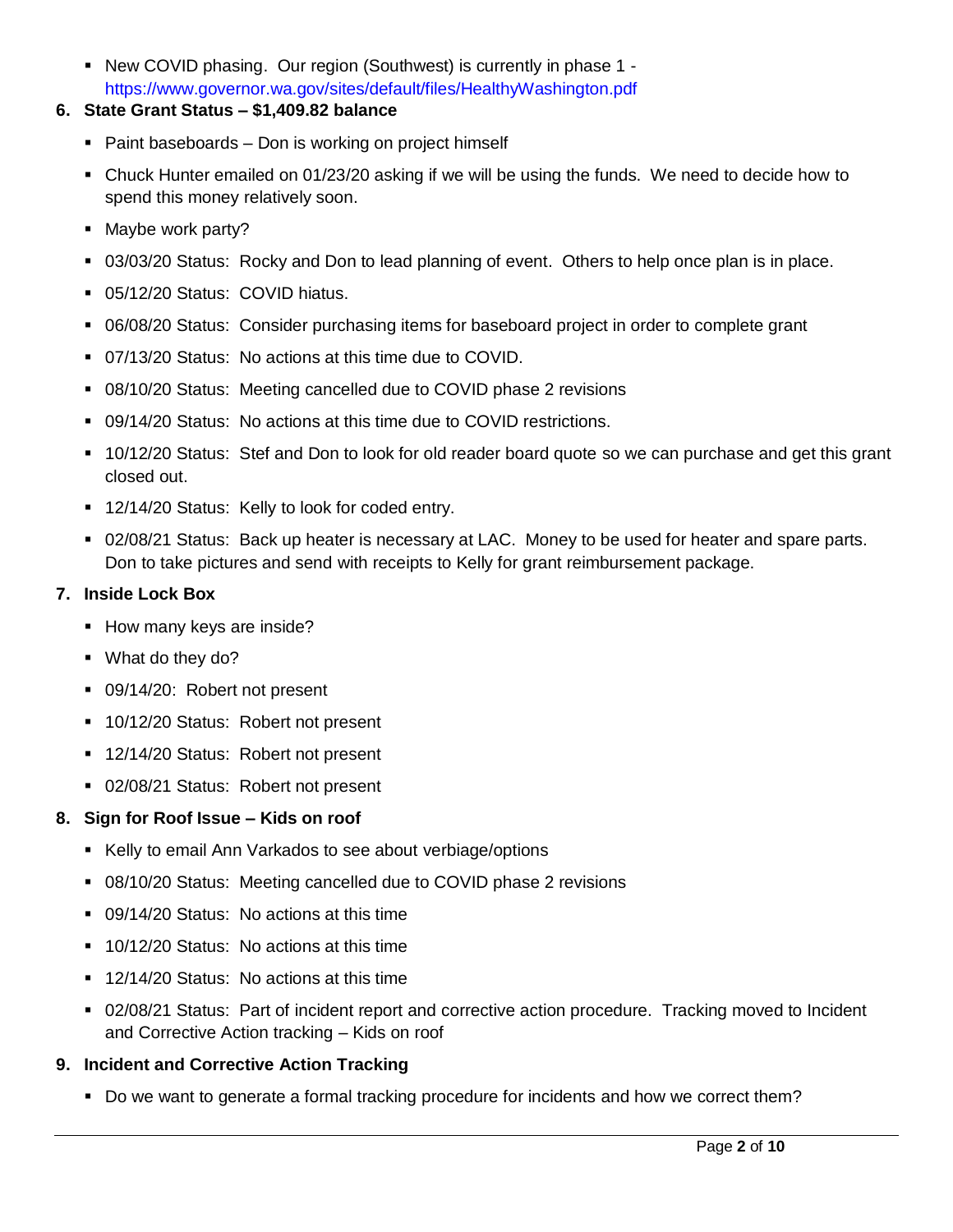New COVID phasing. Our region (Southwest) is currently in phase 1 https://www.governor.wa.gov/sites/default/files/HealthyWashington.pdf

## **6. State Grant Status – \$1,409.82 balance**

- Paint baseboards Don is working on project himself
- Chuck Hunter emailed on 01/23/20 asking if we will be using the funds. We need to decide how to spend this money relatively soon.
- Maybe work party?
- 03/03/20 Status: Rocky and Don to lead planning of event. Others to help once plan is in place.
- 05/12/20 Status: COVID hiatus.
- 06/08/20 Status: Consider purchasing items for baseboard project in order to complete grant
- 07/13/20 Status: No actions at this time due to COVID.
- 08/10/20 Status: Meeting cancelled due to COVID phase 2 revisions
- 09/14/20 Status: No actions at this time due to COVID restrictions.
- 10/12/20 Status: Stef and Don to look for old reader board quote so we can purchase and get this grant closed out.
- **12/14/20 Status: Kelly to look for coded entry.**
- 02/08/21 Status: Back up heater is necessary at LAC. Money to be used for heater and spare parts. Don to take pictures and send with receipts to Kelly for grant reimbursement package.

## **7. Inside Lock Box**

- **How many keys are inside?**
- What do they do?
- 09/14/20: Robert not present
- 10/12/20 Status: Robert not present
- 12/14/20 Status: Robert not present
- 02/08/21 Status: Robert not present

## **8. Sign for Roof Issue – Kids on roof**

- Kelly to email Ann Varkados to see about verbiage/options
- 08/10/20 Status: Meeting cancelled due to COVID phase 2 revisions
- 09/14/20 Status: No actions at this time
- 10/12/20 Status: No actions at this time
- 12/14/20 Status: No actions at this time
- 02/08/21 Status: Part of incident report and corrective action procedure. Tracking moved to Incident and Corrective Action tracking – Kids on roof

# **9. Incident and Corrective Action Tracking**

Do we want to generate a formal tracking procedure for incidents and how we correct them?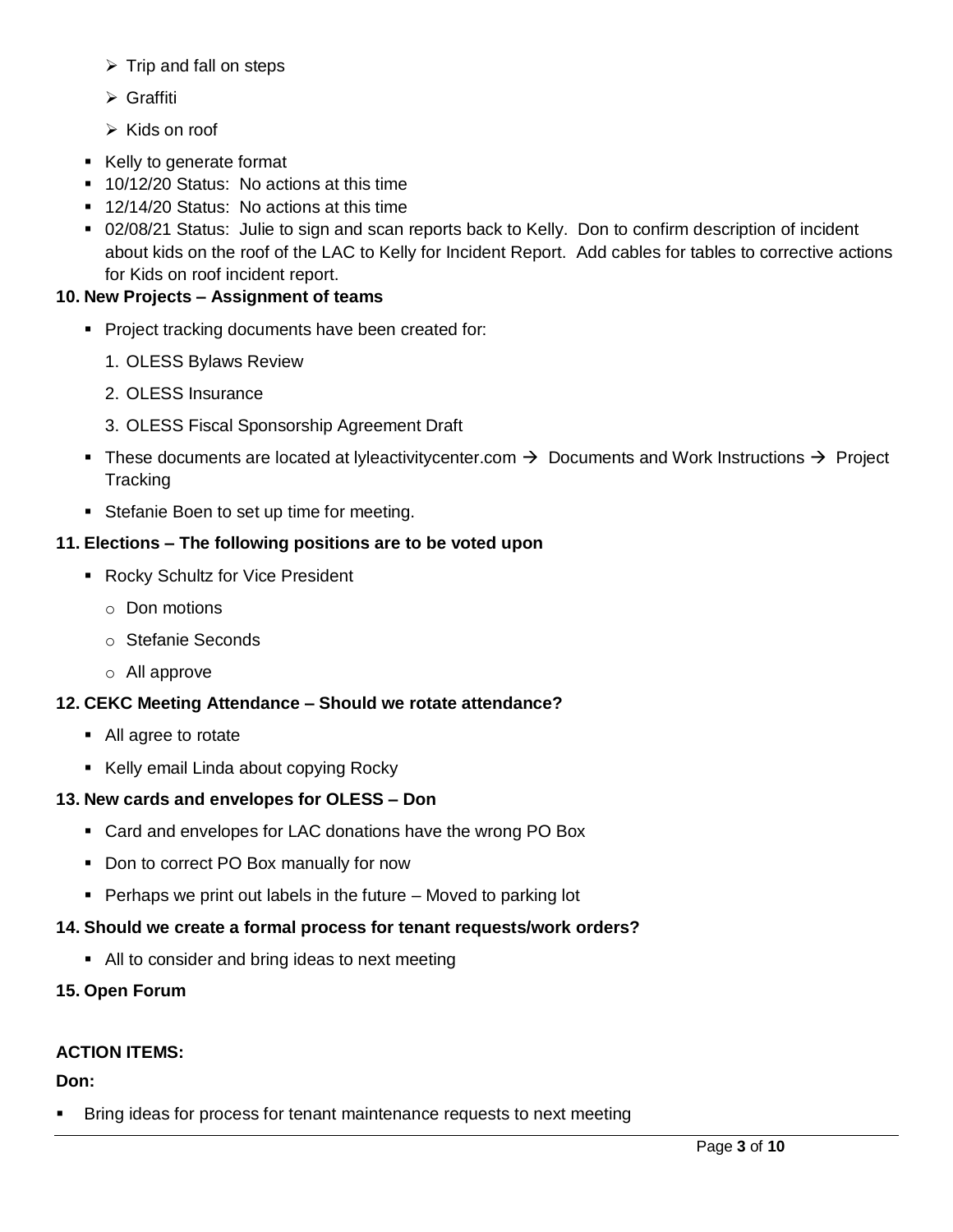- $\triangleright$  Trip and fall on steps
- Graffiti
- $\triangleright$  Kids on roof
- Kelly to generate format
- **10/12/20 Status: No actions at this time**
- 12/14/20 Status: No actions at this time
- 02/08/21 Status: Julie to sign and scan reports back to Kelly. Don to confirm description of incident about kids on the roof of the LAC to Kelly for Incident Report. Add cables for tables to corrective actions for Kids on roof incident report.

#### **10. New Projects – Assignment of teams**

- **Project tracking documents have been created for:** 
	- 1. OLESS Bylaws Review
	- 2. OLESS Insurance
	- 3. OLESS Fiscal Sponsorship Agreement Draft
- These documents are located at lyleactivitycenter.com  $\rightarrow$  Documents and Work Instructions  $\rightarrow$  Project **Tracking**
- **Stefanie Boen to set up time for meeting.**

#### **11. Elections – The following positions are to be voted upon**

- **Rocky Schultz for Vice President** 
	- o Don motions
	- o Stefanie Seconds
	- o All approve

## **12. CEKC Meeting Attendance – Should we rotate attendance?**

- All agree to rotate
- Kelly email Linda about copying Rocky

## **13. New cards and envelopes for OLESS – Don**

- Card and envelopes for LAC donations have the wrong PO Box
- Don to correct PO Box manually for now
- $\blacksquare$  Perhaps we print out labels in the future Moved to parking lot

#### **14. Should we create a formal process for tenant requests/work orders?**

• All to consider and bring ideas to next meeting

## **15. Open Forum**

#### **ACTION ITEMS:**

## **Don:**

Bring ideas for process for tenant maintenance requests to next meeting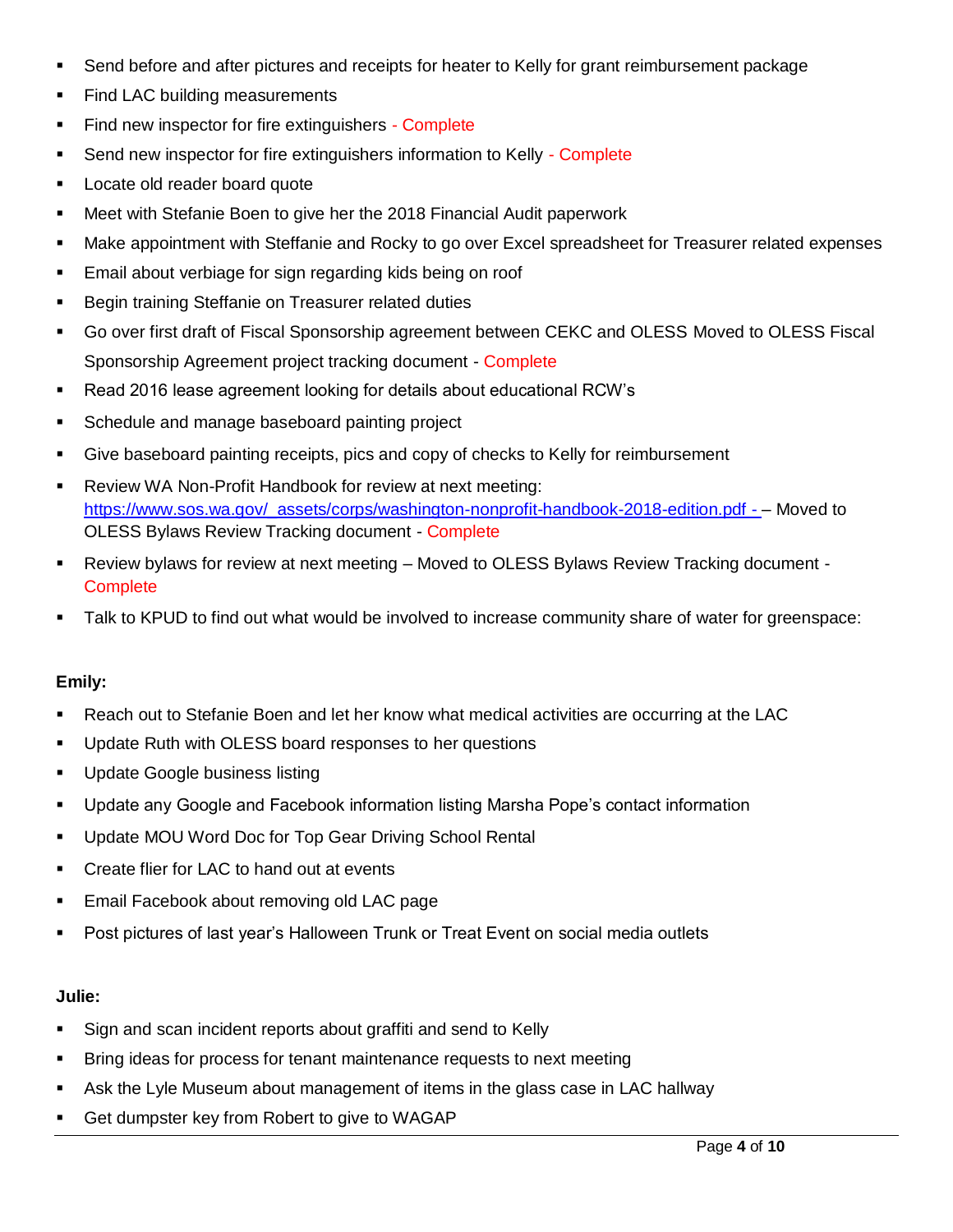- Send before and after pictures and receipts for heater to Kelly for grant reimbursement package
- Find LAC building measurements
- Find new inspector for fire extinguishers Complete
- Send new inspector for fire extinguishers information to Kelly Complete
- **Locate old reader board quote**
- Meet with Stefanie Boen to give her the 2018 Financial Audit paperwork
- Make appointment with Steffanie and Rocky to go over Excel spreadsheet for Treasurer related expenses
- **Email about verbiage for sign regarding kids being on roof**
- **Begin training Steffanie on Treasurer related duties**
- Go over first draft of Fiscal Sponsorship agreement between CEKC and OLESS Moved to OLESS Fiscal Sponsorship Agreement project tracking document - Complete
- Read 2016 lease agreement looking for details about educational RCW's
- **Schedule and manage baseboard painting project**
- Give baseboard painting receipts, pics and copy of checks to Kelly for reimbursement
- **-** Review WA Non-Profit Handbook for review at next meeting: [https://www.sos.wa.gov/\\_assets/corps/washington-nonprofit-handbook-2018-edition.pdf](https://www.sos.wa.gov/_assets/corps/washington-nonprofit-handbook-2018-edition.pdf) - – Moved to OLESS Bylaws Review Tracking document - Complete
- Review bylaws for review at next meeting Moved to OLESS Bylaws Review Tracking document **Complete**
- Talk to KPUD to find out what would be involved to increase community share of water for greenspace:

#### **Emily:**

- Reach out to Stefanie Boen and let her know what medical activities are occurring at the LAC
- **Update Ruth with OLESS board responses to her questions**
- **Update Google business listing**
- Update any Google and Facebook information listing Marsha Pope's contact information
- **Update MOU Word Doc for Top Gear Driving School Rental**
- **•** Create flier for LAC to hand out at events
- **Email Facebook about removing old LAC page**
- Post pictures of last year's Halloween Trunk or Treat Event on social media outlets

#### **Julie:**

- Sign and scan incident reports about graffiti and send to Kelly
- Bring ideas for process for tenant maintenance requests to next meeting
- Ask the Lyle Museum about management of items in the glass case in LAC hallway
- Get dumpster key from Robert to give to WAGAP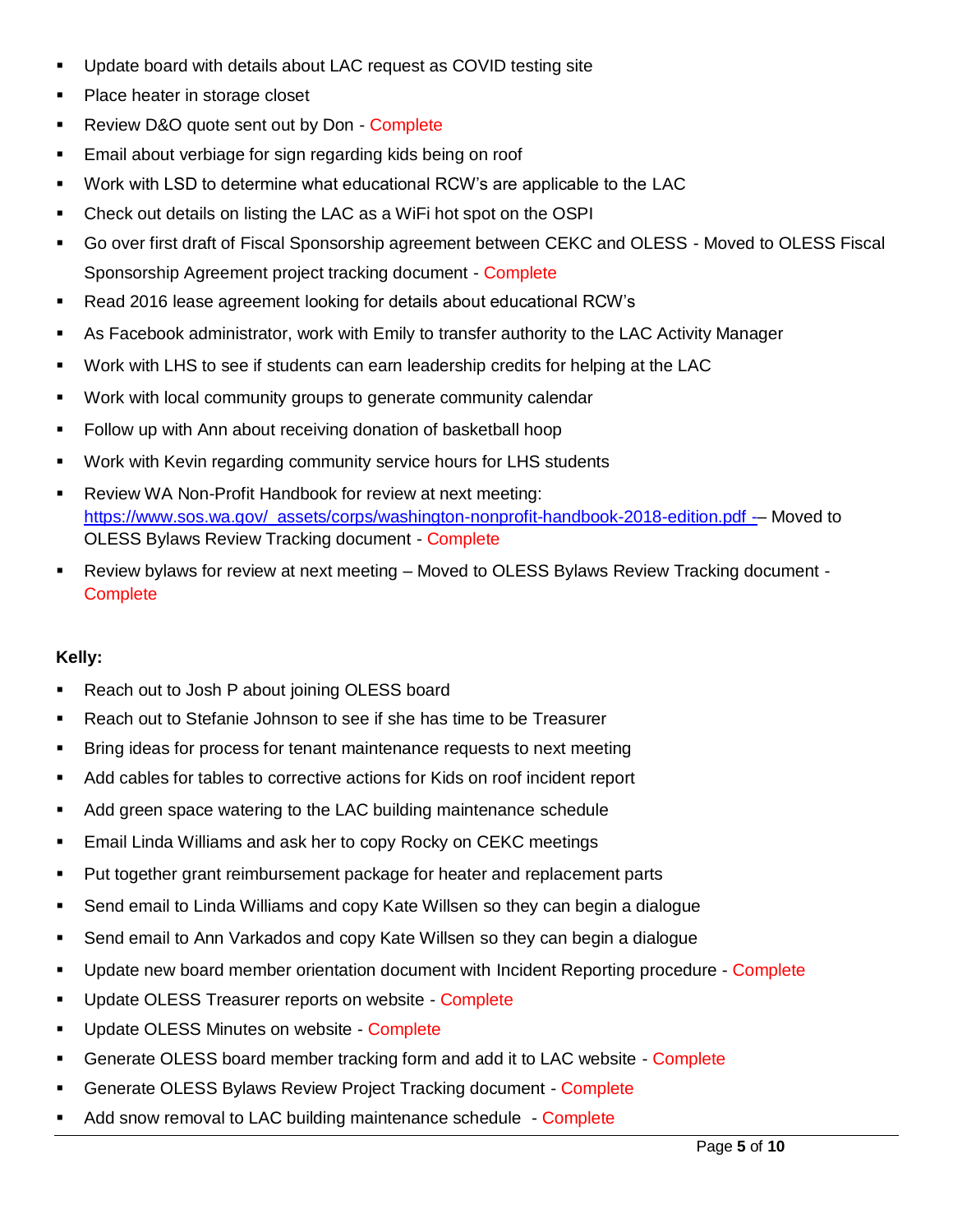- Update board with details about LAC request as COVID testing site
- Place heater in storage closet
- **Review D&O quote sent out by Don Complete**
- **Email about verbiage for sign regarding kids being on roof**
- Work with LSD to determine what educational RCW's are applicable to the LAC
- Check out details on listing the LAC as a WiFi hot spot on the OSPI
- Go over first draft of Fiscal Sponsorship agreement between CEKC and OLESS Moved to OLESS Fiscal Sponsorship Agreement project tracking document - Complete
- Read 2016 lease agreement looking for details about educational RCW's
- As Facebook administrator, work with Emily to transfer authority to the LAC Activity Manager
- Work with LHS to see if students can earn leadership credits for helping at the LAC
- Work with local community groups to generate community calendar
- Follow up with Ann about receiving donation of basketball hoop
- Work with Kevin regarding community service hours for LHS students
- Review WA Non-Profit Handbook for review at next meeting: [https://www.sos.wa.gov/\\_assets/corps/washington-nonprofit-handbook-2018-edition.pdf](https://www.sos.wa.gov/_assets/corps/washington-nonprofit-handbook-2018-edition.pdf) -– Moved to OLESS Bylaws Review Tracking document - Complete
- Review bylaws for review at next meeting Moved to OLESS Bylaws Review Tracking document **Complete**

## **Kelly:**

- **Reach out to Josh P about joining OLESS board**
- Reach out to Stefanie Johnson to see if she has time to be Treasurer
- Bring ideas for process for tenant maintenance requests to next meeting
- Add cables for tables to corrective actions for Kids on roof incident report
- Add green space watering to the LAC building maintenance schedule
- **Email Linda Williams and ask her to copy Rocky on CEKC meetings**
- Put together grant reimbursement package for heater and replacement parts
- Send email to Linda Williams and copy Kate Willsen so they can begin a dialogue
- Send email to Ann Varkados and copy Kate Willsen so they can begin a dialogue
- **Update new board member orientation document with Incident Reporting procedure Complete**
- Update OLESS Treasurer reports on website Complete
- **Update OLESS Minutes on website Complete**
- Generate OLESS board member tracking form and add it to LAC website Complete
- Generate OLESS Bylaws Review Project Tracking document Complete
- Add snow removal to LAC building maintenance schedule Complete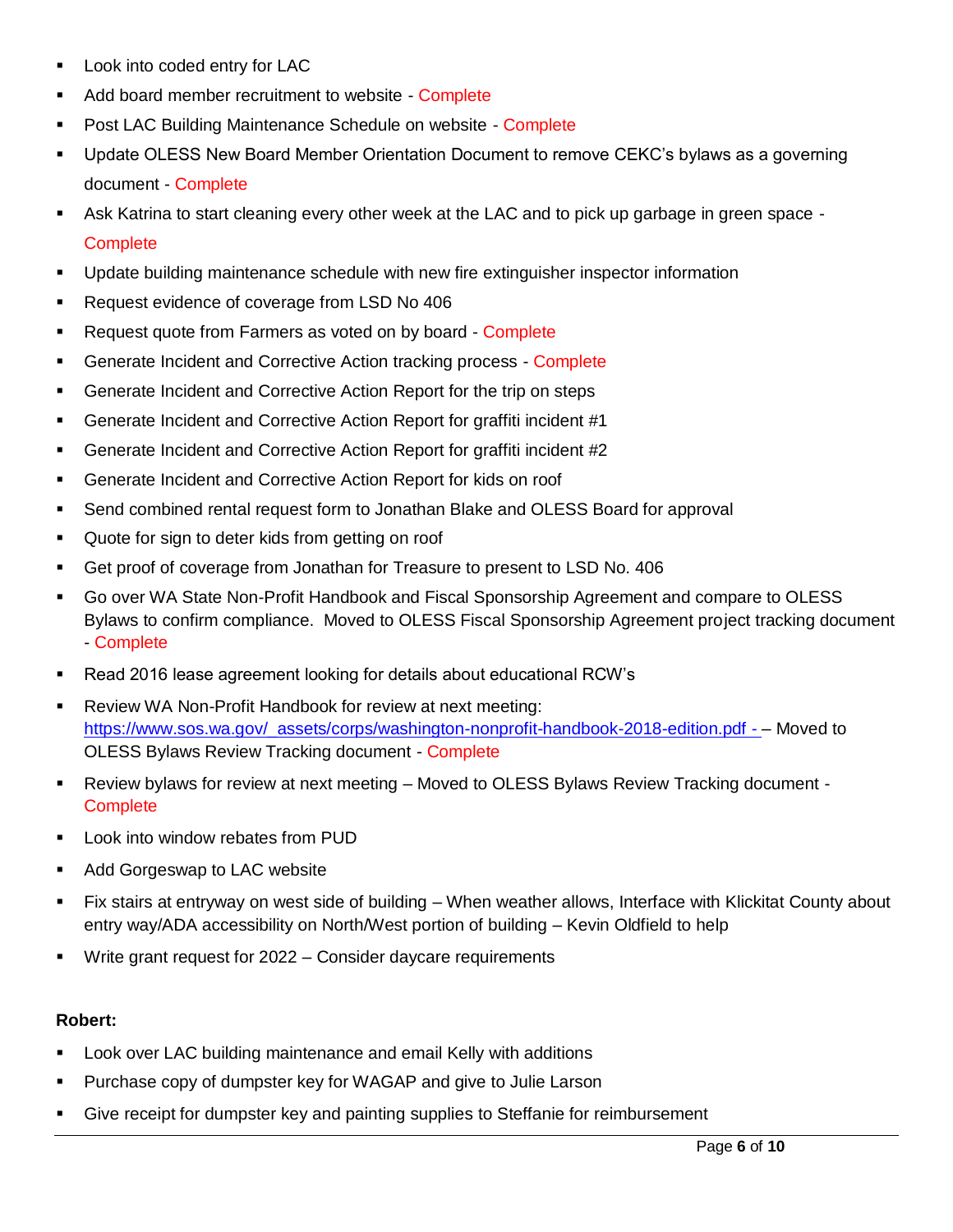- Look into coded entry for LAC
- Add board member recruitment to website Complete
- **Post LAC Building Maintenance Schedule on website Complete**
- Update OLESS New Board Member Orientation Document to remove CEKC's bylaws as a governing document - Complete
- Ask Katrina to start cleaning every other week at the LAC and to pick up garbage in green space **Complete**
- **Update building maintenance schedule with new fire extinguisher inspector information**
- Request evidence of coverage from LSD No 406
- **Request quote from Farmers as voted on by board Complete**
- Generate Incident and Corrective Action tracking process Complete
- **Generate Incident and Corrective Action Report for the trip on steps**
- Generate Incident and Corrective Action Report for graffiti incident #1
- Generate Incident and Corrective Action Report for graffiti incident #2
- **Generate Incident and Corrective Action Report for kids on roof**
- Send combined rental request form to Jonathan Blake and OLESS Board for approval
- **Quote for sign to deter kids from getting on roof**
- Get proof of coverage from Jonathan for Treasure to present to LSD No. 406
- Go over WA State Non-Profit Handbook and Fiscal Sponsorship Agreement and compare to OLESS Bylaws to confirm compliance. Moved to OLESS Fiscal Sponsorship Agreement project tracking document - Complete
- Read 2016 lease agreement looking for details about educational RCW's
- Review WA Non-Profit Handbook for review at next meeting: [https://www.sos.wa.gov/\\_assets/corps/washington-nonprofit-handbook-2018-edition.pdf](https://www.sos.wa.gov/_assets/corps/washington-nonprofit-handbook-2018-edition.pdf) - – Moved to OLESS Bylaws Review Tracking document - Complete
- Review bylaws for review at next meeting Moved to OLESS Bylaws Review Tracking document **Complete**
- Look into window rebates from PUD
- Add Gorgeswap to LAC website
- Fix stairs at entryway on west side of building When weather allows, Interface with Klickitat County about entry way/ADA accessibility on North/West portion of building – Kevin Oldfield to help
- Write grant request for 2022 Consider daycare requirements

## **Robert:**

- Look over LAC building maintenance and email Kelly with additions
- **Purchase copy of dumpster key for WAGAP and give to Julie Larson**
- Give receipt for dumpster key and painting supplies to Steffanie for reimbursement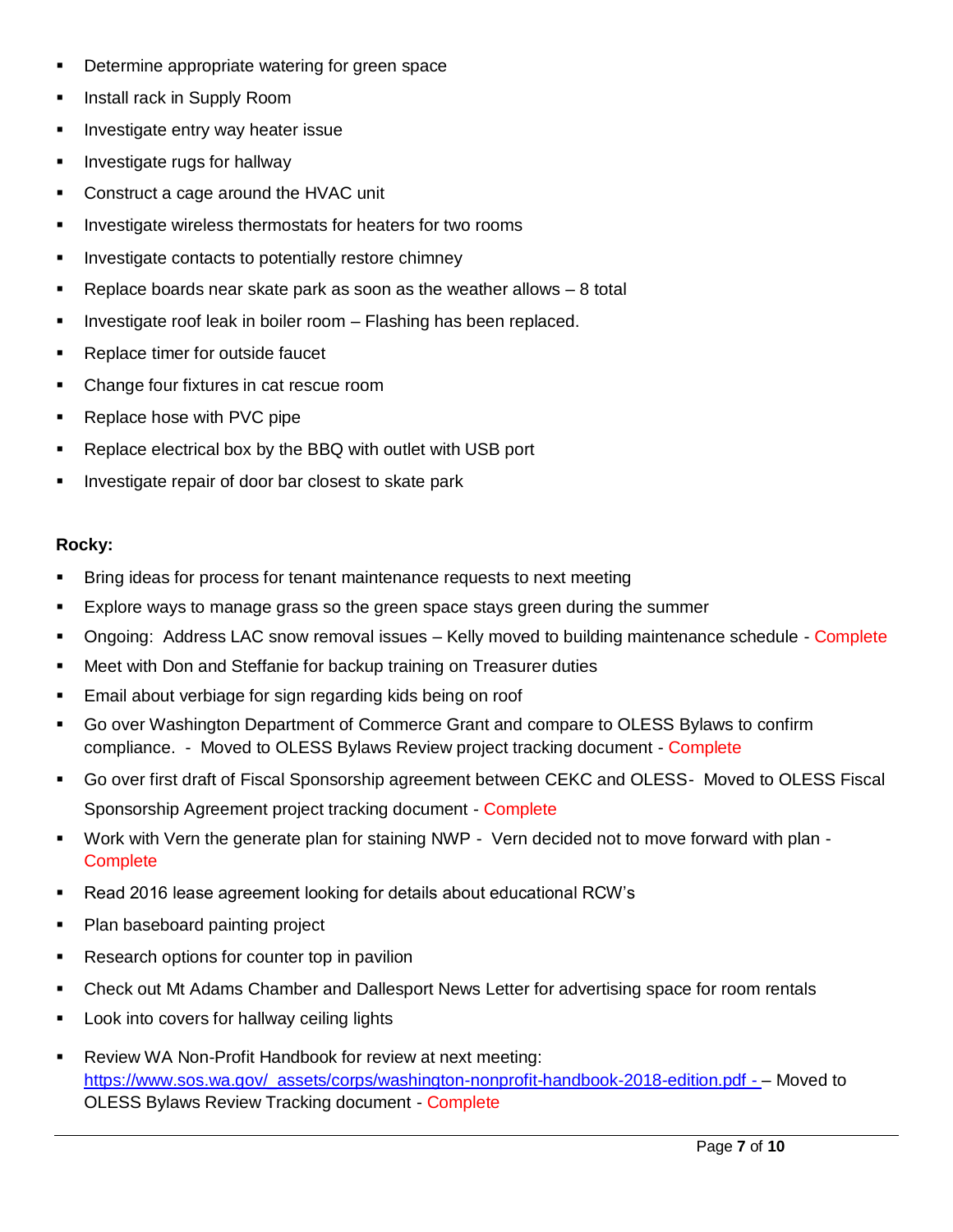- **Determine appropriate watering for green space**
- **Install rack in Supply Room**
- **Investigate entry way heater issue**
- **Investigate rugs for hallway**
- Construct a cage around the HVAC unit
- **Investigate wireless thermostats for heaters for two rooms**
- **Investigate contacts to potentially restore chimney**
- Replace boards near skate park as soon as the weather allows 8 total
- **Investigate roof leak in boiler room Flashing has been replaced.**
- **Replace timer for outside faucet**
- Change four fixtures in cat rescue room
- **Replace hose with PVC pipe**
- **-** Replace electrical box by the BBQ with outlet with USB port
- **Investigate repair of door bar closest to skate park**

#### **Rocky:**

- Bring ideas for process for tenant maintenance requests to next meeting
- Explore ways to manage grass so the green space stays green during the summer
- Ongoing: Address LAC snow removal issues Kelly moved to building maintenance schedule Complete
- **EXECT** Meet with Don and Steffanie for backup training on Treasurer duties
- Email about verbiage for sign regarding kids being on roof
- Go over Washington Department of Commerce Grant and compare to OLESS Bylaws to confirm compliance. - Moved to OLESS Bylaws Review project tracking document - Complete
- Go over first draft of Fiscal Sponsorship agreement between CEKC and OLESS- Moved to OLESS Fiscal Sponsorship Agreement project tracking document - Complete
- Work with Vern the generate plan for staining NWP Vern decided not to move forward with plan **Complete**
- Read 2016 lease agreement looking for details about educational RCW's
- Plan baseboard painting project
- **Research options for counter top in pavilion**
- Check out Mt Adams Chamber and Dallesport News Letter for advertising space for room rentals
- **Look into covers for hallway ceiling lights**
- **-** Review WA Non-Profit Handbook for review at next meeting: [https://www.sos.wa.gov/\\_assets/corps/washington-nonprofit-handbook-2018-edition.pdf](https://www.sos.wa.gov/_assets/corps/washington-nonprofit-handbook-2018-edition.pdf) - – Moved to OLESS Bylaws Review Tracking document - Complete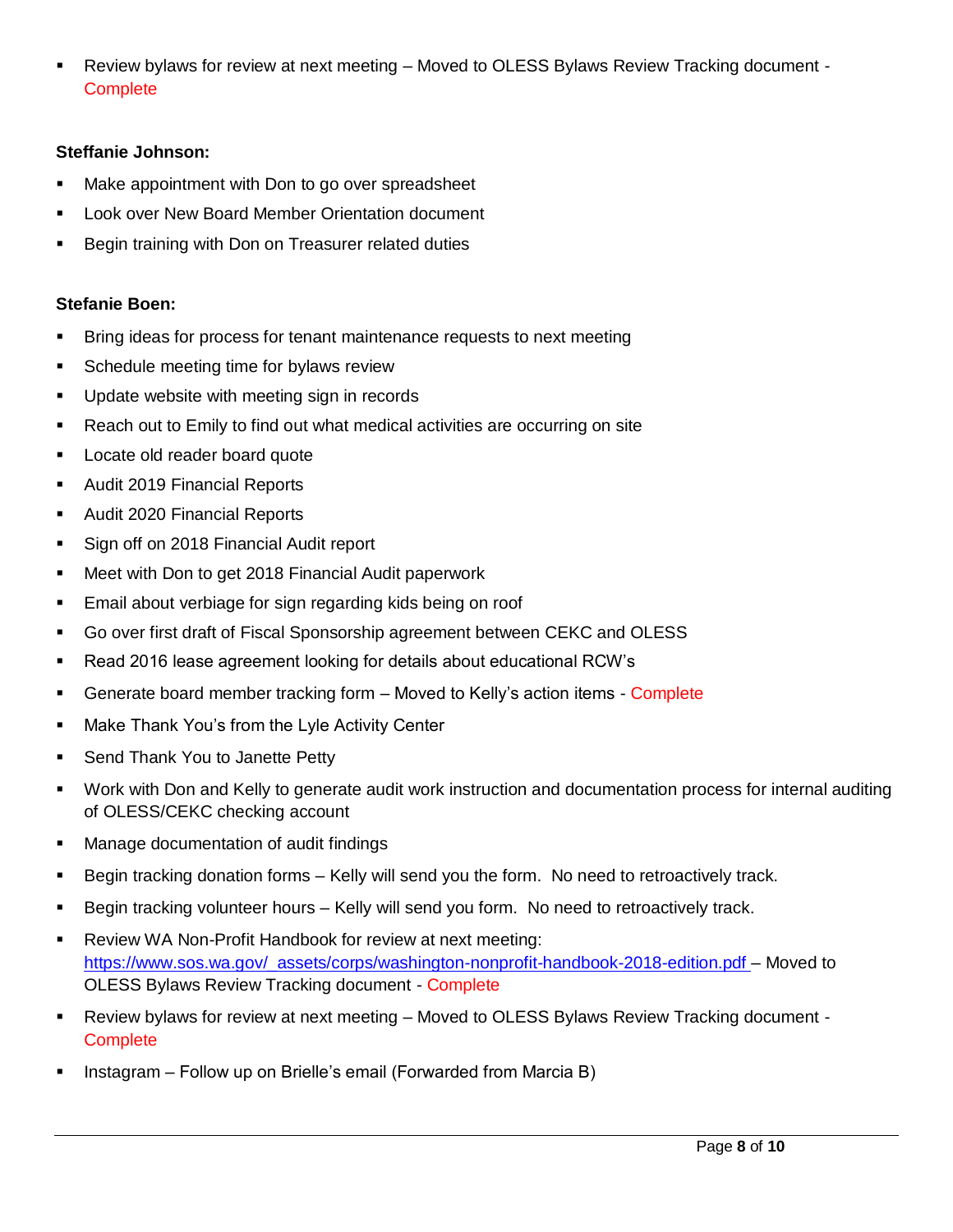Review bylaws for review at next meeting – Moved to OLESS Bylaws Review Tracking document - **Complete** 

#### **Steffanie Johnson:**

- Make appointment with Don to go over spreadsheet
- **Look over New Board Member Orientation document**
- Begin training with Don on Treasurer related duties

## **Stefanie Boen:**

- Bring ideas for process for tenant maintenance requests to next meeting
- **Schedule meeting time for bylaws review**
- **Update website with meeting sign in records**
- Reach out to Emily to find out what medical activities are occurring on site
- **Locate old reader board quote**
- Audit 2019 Financial Reports
- **Audit 2020 Financial Reports**
- Sign off on 2018 Financial Audit report
- **Meet with Don to get 2018 Financial Audit paperwork**
- **Email about verbiage for sign regarding kids being on roof**
- Go over first draft of Fiscal Sponsorship agreement between CEKC and OLESS
- Read 2016 lease agreement looking for details about educational RCW's
- **EXECT** Generate board member tracking form Moved to Kelly's action items Complete
- **Make Thank You's from the Lyle Activity Center**
- **Send Thank You to Janette Petty**
- Work with Don and Kelly to generate audit work instruction and documentation process for internal auditing of OLESS/CEKC checking account
- Manage documentation of audit findings
- Begin tracking donation forms Kelly will send you the form. No need to retroactively track.
- Begin tracking volunteer hours Kelly will send you form. No need to retroactively track.
- **-** Review WA Non-Profit Handbook for review at next meeting: [https://www.sos.wa.gov/\\_assets/corps/washington-nonprofit-handbook-2018-edition.pdf](https://www.sos.wa.gov/_assets/corps/washington-nonprofit-handbook-2018-edition.pdf) – Moved to OLESS Bylaws Review Tracking document - Complete
- Review bylaws for review at next meeting Moved to OLESS Bylaws Review Tracking document **Complete**
- Instagram Follow up on Brielle's email (Forwarded from Marcia B)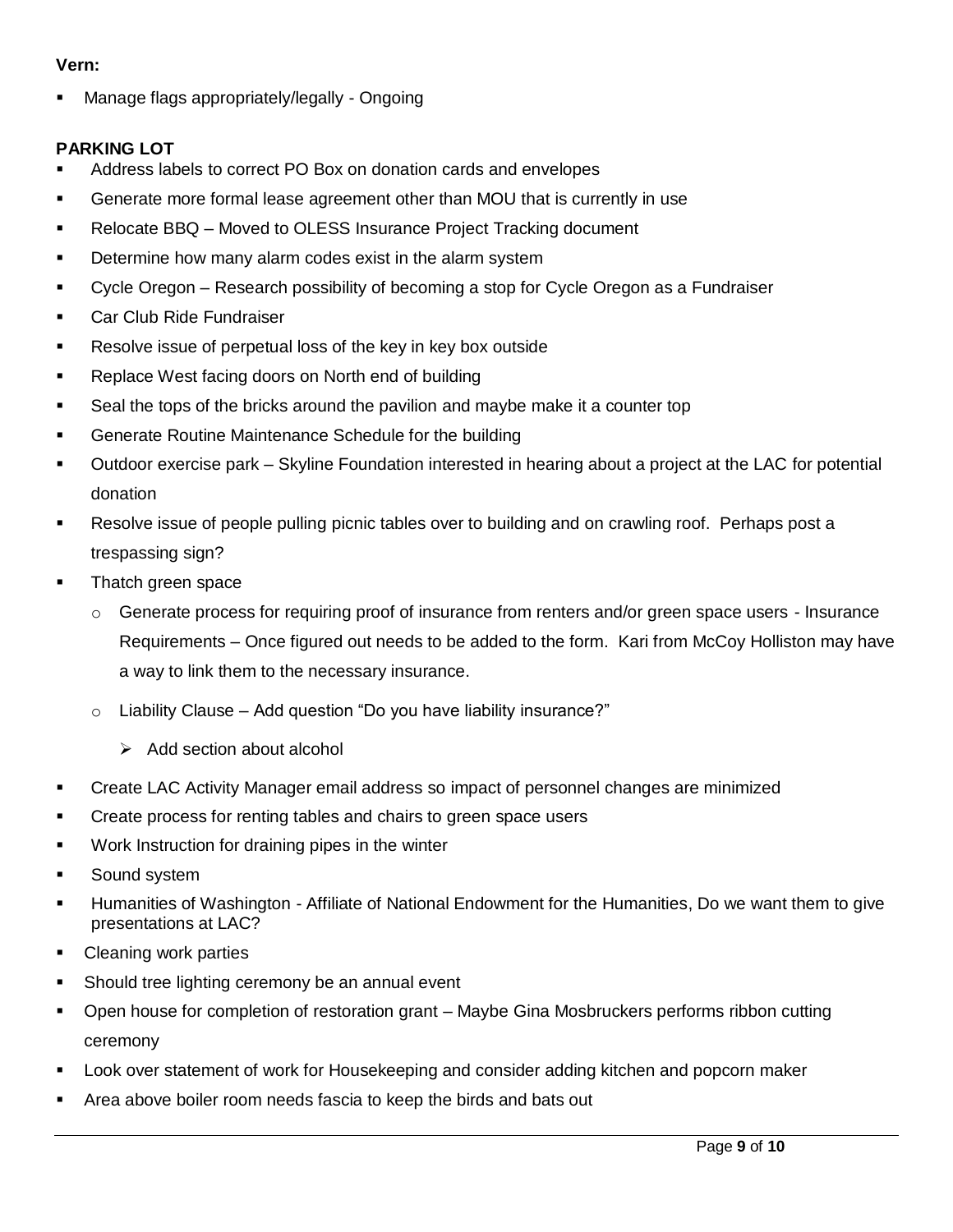#### **Vern:**

Manage flags appropriately/legally - Ongoing

## **PARKING LOT**

- Address labels to correct PO Box on donation cards and envelopes
- Generate more formal lease agreement other than MOU that is currently in use
- Relocate BBQ Moved to OLESS Insurance Project Tracking document
- **Determine how many alarm codes exist in the alarm system**
- Cycle Oregon Research possibility of becoming a stop for Cycle Oregon as a Fundraiser
- **Car Club Ride Fundraiser**
- Resolve issue of perpetual loss of the key in key box outside
- Replace West facing doors on North end of building
- Seal the tops of the bricks around the pavilion and maybe make it a counter top
- **Generate Routine Maintenance Schedule for the building**
- Outdoor exercise park Skyline Foundation interested in hearing about a project at the LAC for potential donation
- Resolve issue of people pulling picnic tables over to building and on crawling roof. Perhaps post a trespassing sign?
- **Thatch green space** 
	- $\circ$  Generate process for requiring proof of insurance from renters and/or green space users Insurance Requirements – Once figured out needs to be added to the form. Kari from McCoy Holliston may have a way to link them to the necessary insurance.
	- $\circ$  Liability Clause Add question "Do you have liability insurance?"
		- $\triangleright$  Add section about alcohol
- Create LAC Activity Manager email address so impact of personnel changes are minimized
- **Create process for renting tables and chairs to green space users**
- **Work Instruction for draining pipes in the winter**
- Sound system
- Humanities of Washington Affiliate of National Endowment for the Humanities, Do we want them to give presentations at LAC?
- Cleaning work parties
- Should tree lighting ceremony be an annual event
- Open house for completion of restoration grant Maybe Gina Mosbruckers performs ribbon cutting ceremony
- Look over statement of work for Housekeeping and consider adding kitchen and popcorn maker
- Area above boiler room needs fascia to keep the birds and bats out